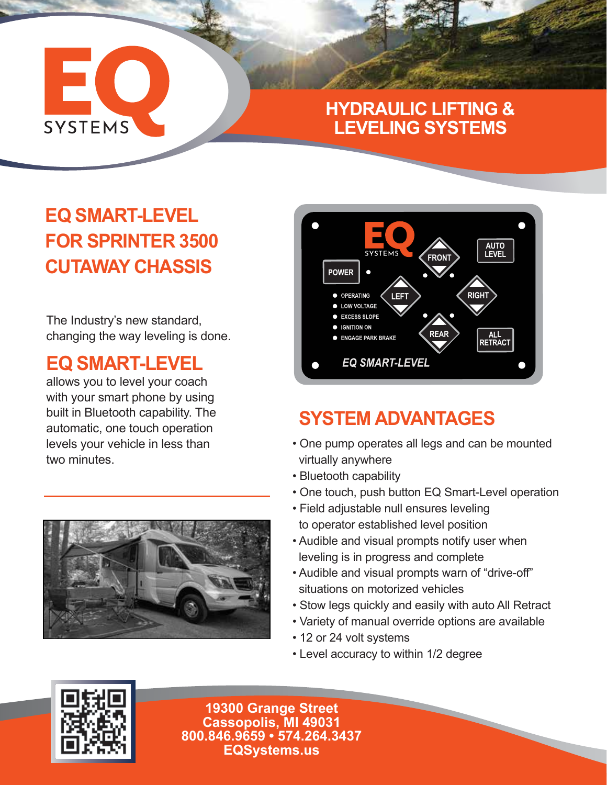# EC **SYSTEMS**

#### **HYDRAULIC LIFTING & LEVELING SYSTEMS**

### **EQ SMART-LEVEL FOR SPRINTER 3500 CUTAWAY CHASSIS**

The Industry's new standard, changing the way leveling is done.

#### **EQ SMART-LEVEL**

allows you to level your coach with your smart phone by using built in Bluetooth capability. The automatic, one touch operation levels your vehicle in less than two minutes.





#### **SYSTEM ADVANTAGES**

- One pump operates all legs and can be mounted virtually anywhere
- Bluetooth capability
- One touch, push button EQ Smart-Level operation
- Field adjustable null ensures leveling
- to operator established level position
- Audible and visual prompts notify user when leveling is in progress and complete
- Audible and visual prompts warn of "drive-off" situations on motorized vehicles
- Stow legs quickly and easily with auto All Retract
- Variety of manual override options are available
- 12 or 24 volt systems
- Level accuracy to within 1/2 degree



**19300 Grange Street Cassopolis, MI 49031 800.846.9659 • 574.264.3437 EQSystems.us**